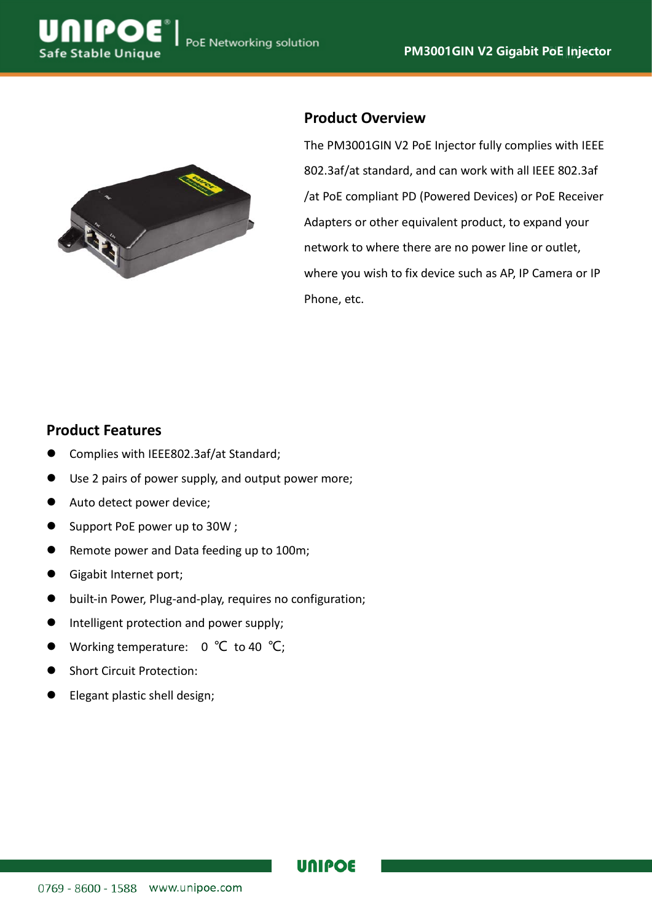

## **Product Overview**

The PM3001GIN V2 PoE Injector fully complies with IEEE 802.3af/at standard, and can work with all IEEE 802.3af /at PoE compliant PD (Powered Devices) or PoE Receiver Adapters or other equivalent product, to expand your network to where there are no power line or outlet, where you wish to fix device such as AP, IP Camera or IP Phone, etc.

### **Product Features**

**Safe Stable Unique** 

- Complies with IEEE802.3af/at Standard;
- Use 2 pairs of power supply, and output power more;
- Auto detect power device;
- Support PoE power up to 30W;
- Remote power and Data feeding up to 100m;
- Gigabit Internet port;
- built-in Power, Plug-and-play, requires no configuration;
- Intelligent protection and power supply;
- Working temperature: 0 ℃ to 40 ℃;
- Short Circuit Protection:
- Elegant plastic shell design;

### **UNIPOE**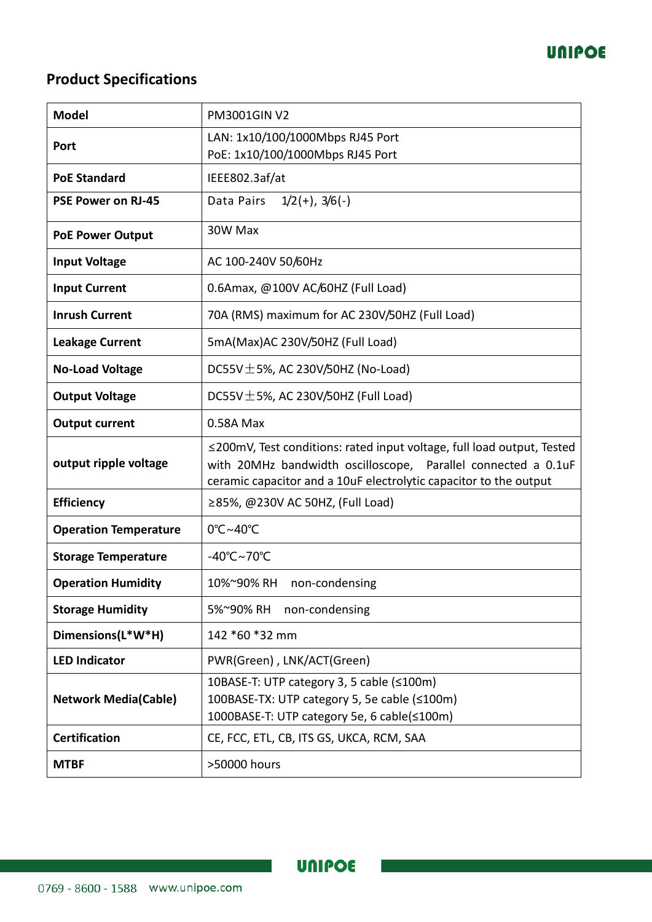

# **Product Specifications**

| <b>Model</b>                 | <b>PM3001GINV2</b>                                                                                                                                                                                           |
|------------------------------|--------------------------------------------------------------------------------------------------------------------------------------------------------------------------------------------------------------|
| Port                         | LAN: 1x10/100/1000Mbps RJ45 Port<br>PoE: 1x10/100/1000Mbps RJ45 Port                                                                                                                                         |
| <b>PoE Standard</b>          | IEEE802.3af/at                                                                                                                                                                                               |
|                              |                                                                                                                                                                                                              |
| <b>PSE Power on RJ-45</b>    | $1/2(+)$ , $3/6(-)$<br>Data Pairs                                                                                                                                                                            |
| <b>PoE Power Output</b>      | 30W Max                                                                                                                                                                                                      |
| <b>Input Voltage</b>         | AC 100-240V 50/60Hz                                                                                                                                                                                          |
| <b>Input Current</b>         | 0.6Amax, @100V AC/60HZ (Full Load)                                                                                                                                                                           |
| <b>Inrush Current</b>        | 70A (RMS) maximum for AC 230V/50HZ (Full Load)                                                                                                                                                               |
| <b>Leakage Current</b>       | 5mA(Max)AC 230V/50HZ (Full Load)                                                                                                                                                                             |
| <b>No-Load Voltage</b>       | DC55V $\pm$ 5%, AC 230V/50HZ (No-Load)                                                                                                                                                                       |
| <b>Output Voltage</b>        | DC55V $\pm$ 5%, AC 230V/50HZ (Full Load)                                                                                                                                                                     |
| <b>Output current</b>        | 0.58A Max                                                                                                                                                                                                    |
| output ripple voltage        | ≤200mV, Test conditions: rated input voltage, full load output, Tested<br>with 20MHz bandwidth oscilloscope, Parallel connected a 0.1uF<br>ceramic capacitor and a 10uF electrolytic capacitor to the output |
| <b>Efficiency</b>            | ≥85%, @230V AC 50HZ, (Full Load)                                                                                                                                                                             |
| <b>Operation Temperature</b> | 0°C~40°C                                                                                                                                                                                                     |
| <b>Storage Temperature</b>   | -40°C~70°C                                                                                                                                                                                                   |
| <b>Operation Humidity</b>    | 10%~90% RH<br>non-condensing                                                                                                                                                                                 |
| <b>Storage Humidity</b>      | 5%~90% RH<br>non-condensing                                                                                                                                                                                  |
| Dimensions(L*W*H)            | 142 *60 *32 mm                                                                                                                                                                                               |
| <b>LED Indicator</b>         | PWR(Green), LNK/ACT(Green)                                                                                                                                                                                   |
| <b>Network Media(Cable)</b>  | 10BASE-T: UTP category 3, 5 cable (≤100m)<br>100BASE-TX: UTP category 5, 5e cable (≤100m)<br>1000BASE-T: UTP category 5e, 6 cable(≤100m)                                                                     |
| <b>Certification</b>         | CE, FCC, ETL, CB, ITS GS, UKCA, RCM, SAA                                                                                                                                                                     |
| <b>MTBF</b>                  | >50000 hours                                                                                                                                                                                                 |

**UNIPOE**